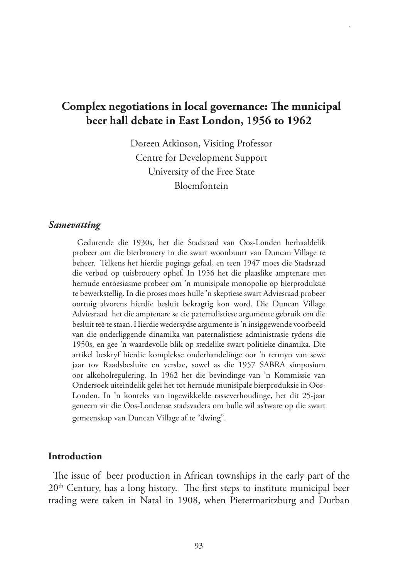# **Complex negotiations in local governance: The municipal beer hall debate in East London, 1956 to 1962**

Doreen Atkinson, Visiting Professor Centre for Development Support University of the Free State Bloemfontein

#### *Samevatting*

Gedurende die 1930s, het die Stadsraad van Oos-Londen herhaaldelik probeer om die bierbrouery in die swart woonbuurt van Duncan Village te beheer. Telkens het hierdie pogings gefaal, en teen 1947 moes die Stadsraad die verbod op tuisbrouery ophef. In 1956 het die plaaslike amptenare met hernude entoesiasme probeer om 'n munisipale monopolie op bierproduksie te bewerkstellig. In die proses moes hulle 'n skeptiese swart Adviesraad probeer oortuig alvorens hierdie besluit bekragtig kon word. Die Duncan Village Adviesraad het die amptenare se eie paternalistiese argumente gebruik om die besluit teë te staan. Hierdie wedersydse argumente is 'n insiggewende voorbeeld van die onderliggende dinamika van paternalistiese administrasie tydens die 1950s, en gee 'n waardevolle blik op stedelike swart politieke dinamika. Die artikel beskryf hierdie komplekse onderhandelinge oor 'n termyn van sewe jaar tov Raadsbesluite en verslae, sowel as die 1957 SABRA simposium oor alkoholregulering. In 1962 het die bevindinge van 'n Kommissie van Ondersoek uiteindelik gelei het tot hernude munisipale bierproduksie in Oos-Londen. In 'n konteks van ingewikkelde rasseverhoudinge, het dit 25-jaar geneem vir die Oos-Londense stadsvaders om hulle wil as'tware op die swart gemeenskap van Duncan Village af te "dwing".

#### **Introduction**

The issue of beer production in African townships in the early part of the 20<sup>th</sup> Century, has a long history. The first steps to institute municipal beer trading were taken in Natal in 1908, when Pietermaritzburg and Durban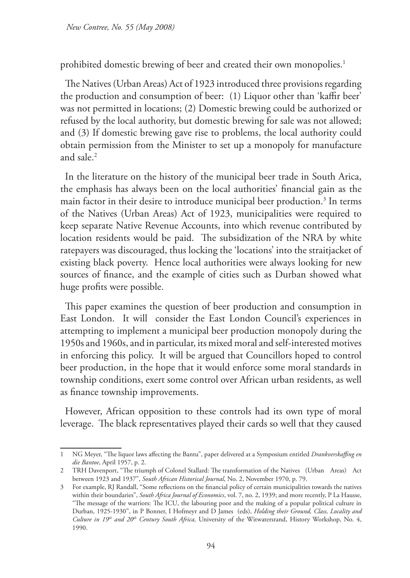*New Contree, No. 55 (May 2008)* 

prohibited domestic brewing of beer and created their own monopolies.<sup>1</sup>

The Natives (Urban Areas) Act of 1923 introduced three provisions regarding the production and consumption of beer: (1) Liquor other than 'kaffir beer' was not permitted in locations; (2) Domestic brewing could be authorized or refused by the local authority, but domestic brewing for sale was not allowed; and (3) If domestic brewing gave rise to problems, the local authority could obtain permission from the Minister to set up a monopoly for manufacture and sale.2

In the literature on the history of the municipal beer trade in South Arica, the emphasis has always been on the local authorities' financial gain as the main factor in their desire to introduce municipal beer production.3 In terms of the Natives (Urban Areas) Act of 1923, municipalities were required to keep separate Native Revenue Accounts, into which revenue contributed by location residents would be paid. The subsidization of the NRA by white ratepayers was discouraged, thus locking the 'locations' into the straitjacket of existing black poverty. Hence local authorities were always looking for new sources of finance, and the example of cities such as Durban showed what huge profits were possible.

This paper examines the question of beer production and consumption in East London. It will consider the East London Council's experiences in attempting to implement a municipal beer production monopoly during the 1950s and 1960s, and in particular, its mixed moral and self-interested motives in enforcing this policy. It will be argued that Councillors hoped to control beer production, in the hope that it would enforce some moral standards in township conditions, exert some control over African urban residents, as well as finance township improvements.

However, African opposition to these controls had its own type of moral leverage. The black representatives played their cards so well that they caused

<sup>1</sup> NG Meyer, "The liquor laws affecting the Bantu", paper delivered at a Symposium entitled *Drankverskaffing en die Bantoe*, April 1957, p. 2.

<sup>2</sup> TRH Davenport, "The triumph of Colonel Stallard: The transformation of the Natives (Urban Areas) Act between 1923 and 1937", *South African Historical Journal*, No. 2, November 1970, p. 79.

<sup>3</sup> For example, RJ Randall, "Some reflections on the financial policy of certain municipalities towards the natives within their boundaries", *South Africa Journal of Economics*, vol. 7, no. 2, 1939; and more recently, P La Hausse, "The message of the warriors: The ICU, the labouring poor and the making of a popular political culture in Durban, 1925-1930", in P Bonner, I Hofmeyr and D James (eds), *Holding their Ground, Class, Locality and Culture in 19th and 20th Century South Africa,* University of the Witwatersrand, History Workshop, No. 4, 1990.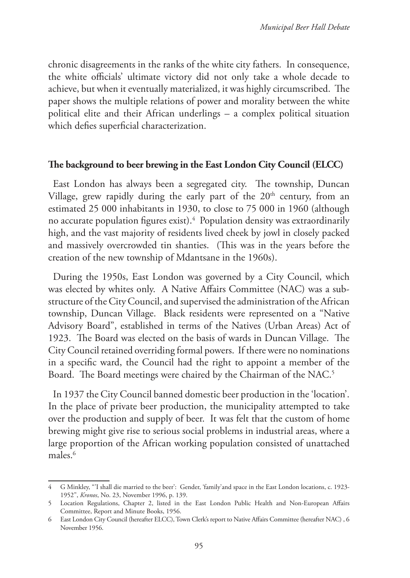chronic disagreements in the ranks of the white city fathers. In consequence, the white officials' ultimate victory did not only take a whole decade to achieve, but when it eventually materialized, it was highly circumscribed. The paper shows the multiple relations of power and morality between the white political elite and their African underlings – a complex political situation which defies superficial characterization.

### **The background to beer brewing in the East London City Council (ELCC)**

East London has always been a segregated city. The township, Duncan Village, grew rapidly during the early part of the  $20<sup>th</sup>$  century, from an estimated 25 000 inhabitants in 1930, to close to 75 000 in 1960 (although no accurate population figures exist).4 Population density was extraordinarily high, and the vast majority of residents lived cheek by jowl in closely packed and massively overcrowded tin shanties. (This was in the years before the creation of the new township of Mdantsane in the 1960s).

During the 1950s, East London was governed by a City Council, which was elected by whites only. A Native Affairs Committee (NAC) was a substructure of the City Council, and supervised the administration of the African township, Duncan Village. Black residents were represented on a "Native Advisory Board", established in terms of the Natives (Urban Areas) Act of 1923. The Board was elected on the basis of wards in Duncan Village. The City Council retained overriding formal powers. If there were no nominations in a specific ward, the Council had the right to appoint a member of the Board. The Board meetings were chaired by the Chairman of the NAC.<sup>5</sup>

In 1937 the City Council banned domestic beer production in the 'location'. In the place of private beer production, the municipality attempted to take over the production and supply of beer. It was felt that the custom of home brewing might give rise to serious social problems in industrial areas, where a large proportion of the African working population consisted of unattached males.<sup>6</sup>

<sup>4</sup> G Minkley, "'I shall die married to the beer': Gender, 'family'and space in the East London locations, c. 1923- 1952", *Kronos*, No. 23, November 1996, p. 139.

<sup>5</sup> Location Regulations, Chapter 2, listed in the East London Public Health and Non-European Affairs Committee, Report and Minute Books, 1956.

<sup>6</sup> East London City Council (hereafter ELCC), Town Clerk's report to Native Affairs Committee (hereafter NAC) , 6 November 1956.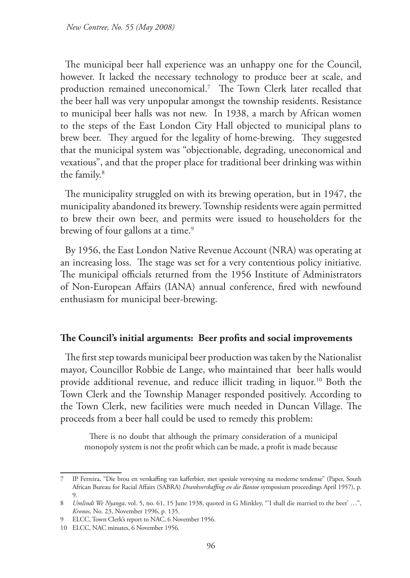The municipal beer hall experience was an unhappy one for the Council, however. It lacked the necessary technology to produce beer at scale, and production remained uneconomical.7 The Town Clerk later recalled that the beer hall was very unpopular amongst the township residents. Resistance to municipal beer halls was not new. In 1938, a march by African women to the steps of the East London City Hall objected to municipal plans to brew beer. They argued for the legality of home-brewing. They suggested that the municipal system was "objectionable, degrading, uneconomical and vexatious", and that the proper place for traditional beer drinking was within the family.<sup>8</sup>

The municipality struggled on with its brewing operation, but in 1947, the municipality abandoned its brewery. Township residents were again permitted to brew their own beer, and permits were issued to householders for the brewing of four gallons at a time.<sup>9</sup>

By 1956, the East London Native Revenue Account (NRA) was operating at an increasing loss. The stage was set for a very contentious policy initiative. The municipal officials returned from the 1956 Institute of Administrators of Non-European Affairs (IANA) annual conference, fired with newfound enthusiasm for municipal beer-brewing.

### **The Council's initial arguments: Beer profits and social improvements**

The first step towards municipal beer production was taken by the Nationalist mayor, Councillor Robbie de Lange, who maintained that beer halls would provide additional revenue, and reduce illicit trading in liquor.<sup>10</sup> Both the Town Clerk and the Township Manager responded positively. According to the Town Clerk, new facilities were much needed in Duncan Village. The proceeds from a beer hall could be used to remedy this problem:

There is no doubt that although the primary consideration of a municipal monopoly system is not the profit which can be made, a profit is made because

<sup>7</sup> IP Ferreira, "Die brou en verskaffing van kafferbier, met spesiale verwysing na moderne tendense" (Paper, South African Bureau for Racial Affairs (SABRA) *Drankverskaffing en die Bantoe* symposium proceedings April 1957), p. 9.

<sup>8</sup> *Umlindi We Nyanga*, vol. 5, no. 61, 15 June 1938, quoted in G Minkley, "'I shall die married to the beer' …", *Kronos*, No. 23, November 1996, p. 135.

<sup>9</sup> ELCC, Town Clerk's report to NAC, 6 November 1956.

<sup>10</sup> ELCC, NAC minutes, 6 November 1956.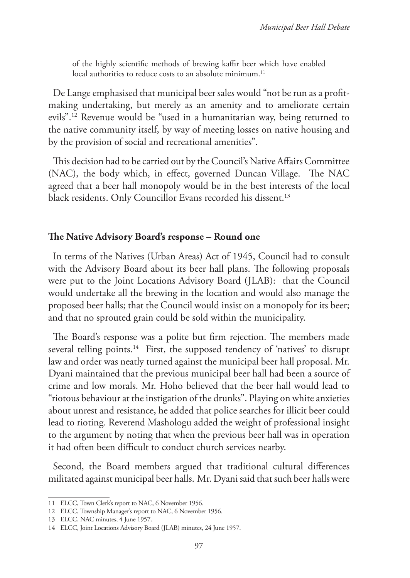of the highly scientific methods of brewing kaffir beer which have enabled local authorities to reduce costs to an absolute minimum.<sup>11</sup>

De Lange emphasised that municipal beer sales would "not be run as a profitmaking undertaking, but merely as an amenity and to ameliorate certain evils".12 Revenue would be "used in a humanitarian way, being returned to the native community itself, by way of meeting losses on native housing and by the provision of social and recreational amenities".

This decision had to be carried out by the Council's Native Affairs Committee (NAC), the body which, in effect, governed Duncan Village. The NAC agreed that a beer hall monopoly would be in the best interests of the local black residents. Only Councillor Evans recorded his dissent.<sup>13</sup>

### **The Native Advisory Board's response – Round one**

In terms of the Natives (Urban Areas) Act of 1945, Council had to consult with the Advisory Board about its beer hall plans. The following proposals were put to the Joint Locations Advisory Board (JLAB): that the Council would undertake all the brewing in the location and would also manage the proposed beer halls; that the Council would insist on a monopoly for its beer; and that no sprouted grain could be sold within the municipality.

The Board's response was a polite but firm rejection. The members made several telling points.<sup>14</sup> First, the supposed tendency of 'natives' to disrupt law and order was neatly turned against the municipal beer hall proposal. Mr. Dyani maintained that the previous municipal beer hall had been a source of crime and low morals. Mr. Hoho believed that the beer hall would lead to "riotous behaviour at the instigation of the drunks". Playing on white anxieties about unrest and resistance, he added that police searches for illicit beer could lead to rioting. Reverend Mashologu added the weight of professional insight to the argument by noting that when the previous beer hall was in operation it had often been difficult to conduct church services nearby.

Second, the Board members argued that traditional cultural differences militated against municipal beer halls. Mr. Dyani said that such beer halls were

<sup>11</sup> ELCC, Town Clerk's report to NAC, 6 November 1956.

<sup>12</sup> ELCC, Township Manager's report to NAC, 6 November 1956.

<sup>13</sup> ELCC, NAC minutes, 4 June 1957.

<sup>14</sup> ELCC, Joint Locations Advisory Board (JLAB) minutes, 24 June 1957.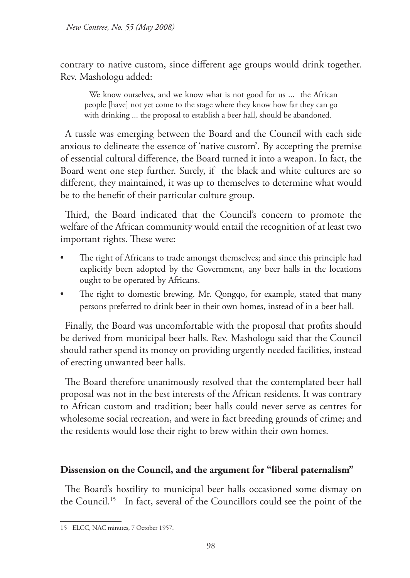contrary to native custom, since different age groups would drink together. Rev. Mashologu added:

We know ourselves, and we know what is not good for us ... the African people [have] not yet come to the stage where they know how far they can go with drinking ... the proposal to establish a beer hall, should be abandoned.

A tussle was emerging between the Board and the Council with each side anxious to delineate the essence of 'native custom'. By accepting the premise of essential cultural difference, the Board turned it into a weapon. In fact, the Board went one step further. Surely, if the black and white cultures are so different, they maintained, it was up to themselves to determine what would be to the benefit of their particular culture group.

Third, the Board indicated that the Council's concern to promote the welfare of the African community would entail the recognition of at least two important rights. These were:

- The right of Africans to trade amongst themselves; and since this principle had explicitly been adopted by the Government, any beer halls in the locations ought to be operated by Africans.
- The right to domestic brewing. Mr. Qongqo, for example, stated that many persons preferred to drink beer in their own homes, instead of in a beer hall.

Finally, the Board was uncomfortable with the proposal that profits should be derived from municipal beer halls. Rev. Mashologu said that the Council should rather spend its money on providing urgently needed facilities, instead of erecting unwanted beer halls.

The Board therefore unanimously resolved that the contemplated beer hall proposal was not in the best interests of the African residents. It was contrary to African custom and tradition; beer halls could never serve as centres for wholesome social recreation, and were in fact breeding grounds of crime; and the residents would lose their right to brew within their own homes.

## **Dissension on the Council, and the argument for "liberal paternalism"**

The Board's hostility to municipal beer halls occasioned some dismay on the Council.15 In fact, several of the Councillors could see the point of the

<sup>15</sup> ELCC, NAC minutes, 7 October 1957.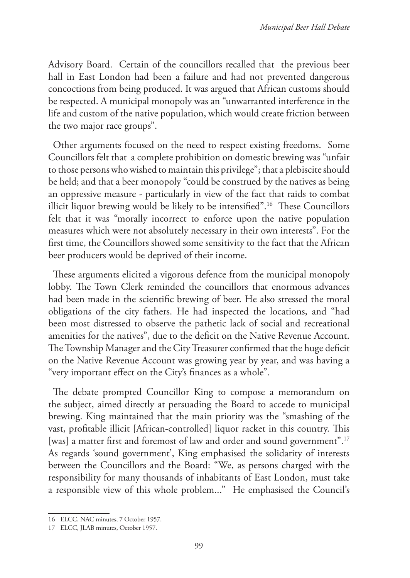Advisory Board. Certain of the councillors recalled that the previous beer hall in East London had been a failure and had not prevented dangerous concoctions from being produced. It was argued that African customs should be respected. A municipal monopoly was an "unwarranted interference in the life and custom of the native population, which would create friction between the two major race groups".

Other arguments focused on the need to respect existing freedoms. Some Councillors felt that a complete prohibition on domestic brewing was "unfair to those persons who wished to maintain this privilege"; that a plebiscite should be held; and that a beer monopoly "could be construed by the natives as being an oppressive measure - particularly in view of the fact that raids to combat illicit liquor brewing would be likely to be intensified".16 These Councillors felt that it was "morally incorrect to enforce upon the native population measures which were not absolutely necessary in their own interests". For the first time, the Councillors showed some sensitivity to the fact that the African beer producers would be deprived of their income.

These arguments elicited a vigorous defence from the municipal monopoly lobby. The Town Clerk reminded the councillors that enormous advances had been made in the scientific brewing of beer. He also stressed the moral obligations of the city fathers. He had inspected the locations, and "had been most distressed to observe the pathetic lack of social and recreational amenities for the natives", due to the deficit on the Native Revenue Account. The Township Manager and the City Treasurer confirmed that the huge deficit on the Native Revenue Account was growing year by year, and was having a "very important effect on the City's finances as a whole".

The debate prompted Councillor King to compose a memorandum on the subject, aimed directly at persuading the Board to accede to municipal brewing. King maintained that the main priority was the "smashing of the vast, profitable illicit [African-controlled] liquor racket in this country. This [was] a matter first and foremost of law and order and sound government".17 As regards 'sound government', King emphasised the solidarity of interests between the Councillors and the Board: "We, as persons charged with the responsibility for many thousands of inhabitants of East London, must take a responsible view of this whole problem..." He emphasised the Council's

<sup>16</sup> ELCC, NAC minutes, 7 October 1957.

<sup>17</sup> ELCC, JLAB minutes, October 1957.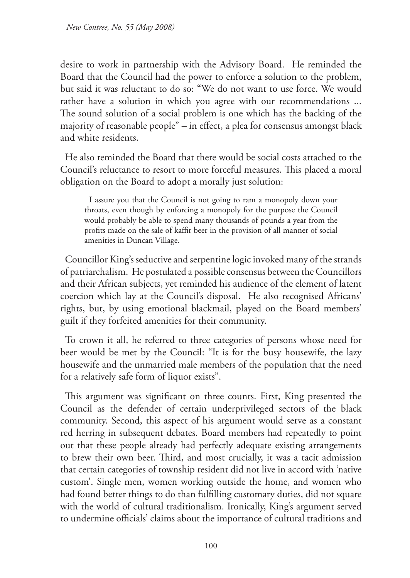desire to work in partnership with the Advisory Board. He reminded the Board that the Council had the power to enforce a solution to the problem, but said it was reluctant to do so: "We do not want to use force. We would rather have a solution in which you agree with our recommendations ... The sound solution of a social problem is one which has the backing of the majority of reasonable people" – in effect, a plea for consensus amongst black and white residents.

He also reminded the Board that there would be social costs attached to the Council's reluctance to resort to more forceful measures. This placed a moral obligation on the Board to adopt a morally just solution:

I assure you that the Council is not going to ram a monopoly down your throats, even though by enforcing a monopoly for the purpose the Council would probably be able to spend many thousands of pounds a year from the profits made on the sale of kaffir beer in the provision of all manner of social amenities in Duncan Village.

Councillor King's seductive and serpentine logic invoked many of the strands of patriarchalism. He postulated a possible consensus between the Councillors and their African subjects, yet reminded his audience of the element of latent coercion which lay at the Council's disposal. He also recognised Africans' rights, but, by using emotional blackmail, played on the Board members' guilt if they forfeited amenities for their community.

To crown it all, he referred to three categories of persons whose need for beer would be met by the Council: "It is for the busy housewife, the lazy housewife and the unmarried male members of the population that the need for a relatively safe form of liquor exists".

This argument was significant on three counts. First, King presented the Council as the defender of certain underprivileged sectors of the black community. Second, this aspect of his argument would serve as a constant red herring in subsequent debates. Board members had repeatedly to point out that these people already had perfectly adequate existing arrangements to brew their own beer. Third, and most crucially, it was a tacit admission that certain categories of township resident did not live in accord with 'native custom'. Single men, women working outside the home, and women who had found better things to do than fulfilling customary duties, did not square with the world of cultural traditionalism. Ironically, King's argument served to undermine officials' claims about the importance of cultural traditions and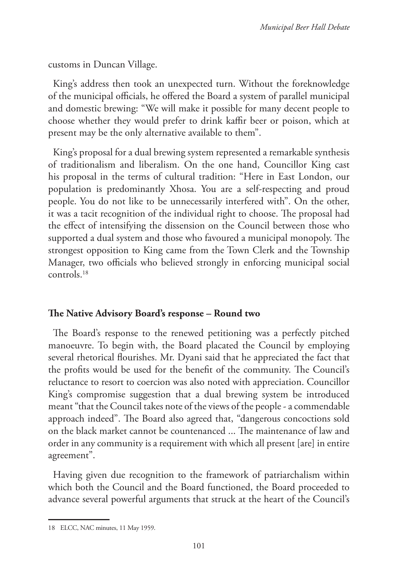customs in Duncan Village.

King's address then took an unexpected turn. Without the foreknowledge of the municipal officials, he offered the Board a system of parallel municipal and domestic brewing: "We will make it possible for many decent people to choose whether they would prefer to drink kaffir beer or poison, which at present may be the only alternative available to them".

King's proposal for a dual brewing system represented a remarkable synthesis of traditionalism and liberalism. On the one hand, Councillor King cast his proposal in the terms of cultural tradition: "Here in East London, our population is predominantly Xhosa. You are a self-respecting and proud people. You do not like to be unnecessarily interfered with". On the other, it was a tacit recognition of the individual right to choose. The proposal had the effect of intensifying the dissension on the Council between those who supported a dual system and those who favoured a municipal monopoly. The strongest opposition to King came from the Town Clerk and the Township Manager, two officials who believed strongly in enforcing municipal social controls.18

## **The Native Advisory Board's response – Round two**

The Board's response to the renewed petitioning was a perfectly pitched manoeuvre. To begin with, the Board placated the Council by employing several rhetorical flourishes. Mr. Dyani said that he appreciated the fact that the profits would be used for the benefit of the community. The Council's reluctance to resort to coercion was also noted with appreciation. Councillor King's compromise suggestion that a dual brewing system be introduced meant "that the Council takes note of the views of the people - a commendable approach indeed". The Board also agreed that, "dangerous concoctions sold on the black market cannot be countenanced ... The maintenance of law and order in any community is a requirement with which all present [are] in entire agreement".

Having given due recognition to the framework of patriarchalism within which both the Council and the Board functioned, the Board proceeded to advance several powerful arguments that struck at the heart of the Council's

<sup>18</sup> ELCC, NAC minutes, 11 May 1959.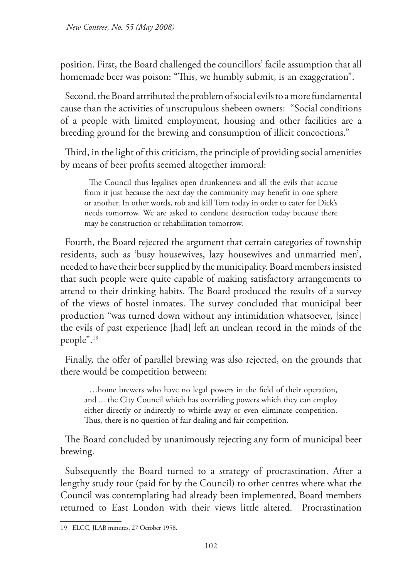position. First, the Board challenged the councillors' facile assumption that all homemade beer was poison: "This, we humbly submit, is an exaggeration".

Second, the Board attributed the problem of social evils to a more fundamental cause than the activities of unscrupulous shebeen owners: "Social conditions of a people with limited employment, housing and other facilities are a breeding ground for the brewing and consumption of illicit concoctions."

Third, in the light of this criticism, the principle of providing social amenities by means of beer profits seemed altogether immoral:

The Council thus legalises open drunkenness and all the evils that accrue from it just because the next day the community may benefit in one sphere or another. In other words, rob and kill Tom today in order to cater for Dick's needs tomorrow. We are asked to condone destruction today because there may be construction or rehabilitation tomorrow.

Fourth, the Board rejected the argument that certain categories of township residents, such as 'busy housewives, lazy housewives and unmarried men', needed to have their beer supplied by the municipality. Board members insisted that such people were quite capable of making satisfactory arrangements to attend to their drinking habits. The Board produced the results of a survey of the views of hostel inmates. The survey concluded that municipal beer production "was turned down without any intimidation whatsoever, [since] the evils of past experience [had] left an unclean record in the minds of the people".19

Finally, the offer of parallel brewing was also rejected, on the grounds that there would be competition between:

…home brewers who have no legal powers in the field of their operation, and ... the City Council which has overriding powers which they can employ either directly or indirectly to whittle away or even eliminate competition. Thus, there is no question of fair dealing and fair competition.

The Board concluded by unanimously rejecting any form of municipal beer brewing.

Subsequently the Board turned to a strategy of procrastination. After a lengthy study tour (paid for by the Council) to other centres where what the Council was contemplating had already been implemented, Board members returned to East London with their views little altered. Procrastination

<sup>19</sup> ELCC, JLAB minutes, 27 October 1958.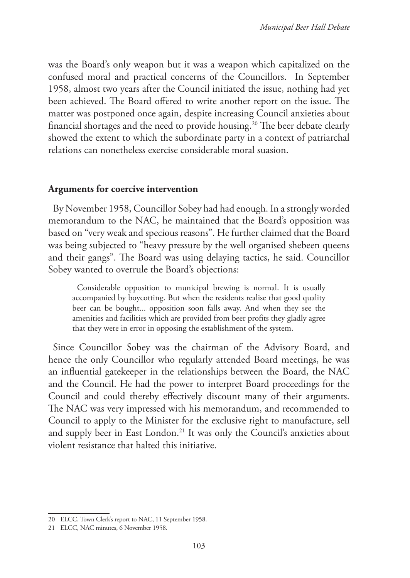was the Board's only weapon but it was a weapon which capitalized on the confused moral and practical concerns of the Councillors. In September 1958, almost two years after the Council initiated the issue, nothing had yet been achieved. The Board offered to write another report on the issue. The matter was postponed once again, despite increasing Council anxieties about financial shortages and the need to provide housing.20 The beer debate clearly showed the extent to which the subordinate party in a context of patriarchal relations can nonetheless exercise considerable moral suasion.

#### **Arguments for coercive intervention**

By November 1958, Councillor Sobey had had enough. In a strongly worded memorandum to the NAC, he maintained that the Board's opposition was based on "very weak and specious reasons". He further claimed that the Board was being subjected to "heavy pressure by the well organised shebeen queens and their gangs". The Board was using delaying tactics, he said. Councillor Sobey wanted to overrule the Board's objections:

Considerable opposition to municipal brewing is normal. It is usually accompanied by boycotting. But when the residents realise that good quality beer can be bought... opposition soon falls away. And when they see the amenities and facilities which are provided from beer profits they gladly agree that they were in error in opposing the establishment of the system.

Since Councillor Sobey was the chairman of the Advisory Board, and hence the only Councillor who regularly attended Board meetings, he was an influential gatekeeper in the relationships between the Board, the NAC and the Council. He had the power to interpret Board proceedings for the Council and could thereby effectively discount many of their arguments. The NAC was very impressed with his memorandum, and recommended to Council to apply to the Minister for the exclusive right to manufacture, sell and supply beer in East London.<sup>21</sup> It was only the Council's anxieties about violent resistance that halted this initiative.

<sup>20</sup> ELCC, Town Clerk's report to NAC, 11 September 1958.

<sup>21</sup> ELCC, NAC minutes, 6 November 1958.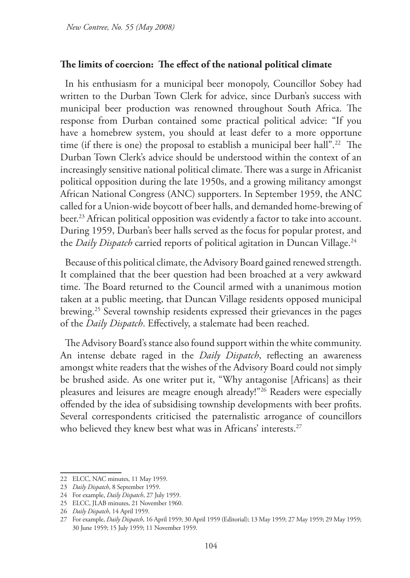### **The limits of coercion: The effect of the national political climate**

In his enthusiasm for a municipal beer monopoly, Councillor Sobey had written to the Durban Town Clerk for advice, since Durban's success with municipal beer production was renowned throughout South Africa. The response from Durban contained some practical political advice: "If you have a homebrew system, you should at least defer to a more opportune time (if there is one) the proposal to establish a municipal beer hall".<sup>22</sup> The Durban Town Clerk's advice should be understood within the context of an increasingly sensitive national political climate. There was a surge in Africanist political opposition during the late 1950s, and a growing militancy amongst African National Congress (ANC) supporters. In September 1959, the ANC called for a Union-wide boycott of beer halls, and demanded home-brewing of beer.<sup>23</sup> African political opposition was evidently a factor to take into account. During 1959, Durban's beer halls served as the focus for popular protest, and the *Daily Dispatch* carried reports of political agitation in Duncan Village.<sup>24</sup>

Because of this political climate, the Advisory Board gained renewed strength. It complained that the beer question had been broached at a very awkward time. The Board returned to the Council armed with a unanimous motion taken at a public meeting, that Duncan Village residents opposed municipal brewing.25 Several township residents expressed their grievances in the pages of the *Daily Dispatch*. Effectively, a stalemate had been reached.

The Advisory Board's stance also found support within the white community. An intense debate raged in the *Daily Dispatch*, reflecting an awareness amongst white readers that the wishes of the Advisory Board could not simply be brushed aside. As one writer put it, "Why antagonise [Africans] as their pleasures and leisures are meagre enough already!"26 Readers were especially offended by the idea of subsidising township developments with beer profits. Several correspondents criticised the paternalistic arrogance of councillors who believed they knew best what was in Africans' interests.<sup>27</sup>

<sup>22</sup> ELCC, NAC minutes, 11 May 1959.

<sup>23</sup> *Daily Dispatch*, 8 September 1959.

<sup>24</sup> For example, *Daily Dispatch*, 27 July 1959.

<sup>25</sup> ELCC, JLAB minutes, 21 November 1960.

<sup>26</sup> *Daily Dispatch*, 14 April 1959.

<sup>27</sup> For example, *Daily Dispatch*, 16 April 1959; 30 April 1959 (Editorial); 13 May 1959; 27 May 1959; 29 May 1959; 30 June 1959; 15 July 1959; 11 November 1959.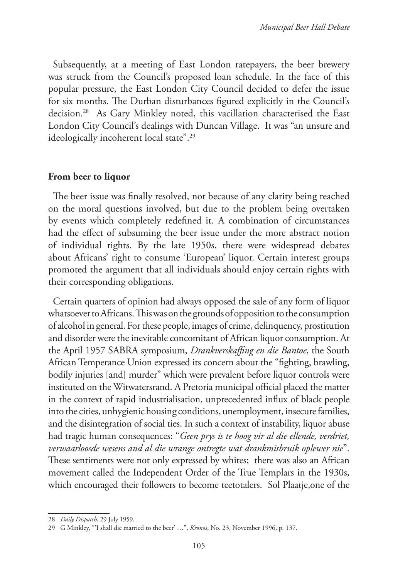Subsequently, at a meeting of East London ratepayers, the beer brewery was struck from the Council's proposed loan schedule. In the face of this popular pressure, the East London City Council decided to defer the issue for six months. The Durban disturbances figured explicitly in the Council's decision.28 As Gary Minkley noted, this vacillation characterised the East London City Council's dealings with Duncan Village. It was "an unsure and ideologically incoherent local state".<sup>29</sup>

### **From beer to liquor**

The beer issue was finally resolved, not because of any clarity being reached on the moral questions involved, but due to the problem being overtaken by events which completely redefined it. A combination of circumstances had the effect of subsuming the beer issue under the more abstract notion of individual rights. By the late 1950s, there were widespread debates about Africans' right to consume 'European' liquor. Certain interest groups promoted the argument that all individuals should enjoy certain rights with their corresponding obligations.

Certain quarters of opinion had always opposed the sale of any form of liquor whatsoever to Africans. This was on the grounds of opposition to the consumption of alcohol in general. For these people, images of crime, delinquency, prostitution and disorder were the inevitable concomitant of African liquor consumption. At the April 1957 SABRA symposium, *Drankverskaffing en die Bantoe*, the South African Temperance Union expressed its concern about the "fighting, brawling, bodily injuries [and] murder" which were prevalent before liquor controls were instituted on the Witwatersrand. A Pretoria municipal official placed the matter in the context of rapid industrialisation, unprecedented influx of black people into the cities, unhygienic housing conditions, unemployment, insecure families, and the disintegration of social ties. In such a context of instability, liquor abuse had tragic human consequences: "*Geen prys is te hoog vir al die ellende, verdriet, verwaarloosde wesens and al die wrange ontregte wat drankmisbruik oplewer nie*". These sentiments were not only expressed by whites; there was also an African movement called the Independent Order of the True Templars in the 1930s, which encouraged their followers to become teetotalers. Sol Plaatje,one of the

<sup>28</sup> *Daily Dispatch*, 29 July 1959.

<sup>29</sup> G Minkley, "'I shall die married to the beer' …", *Kronos*, No. 23, November 1996, p. 137.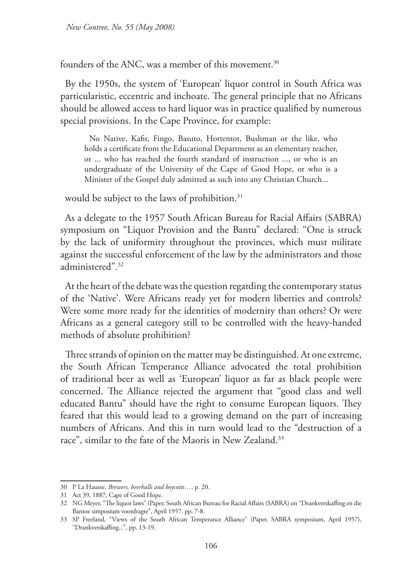founders of the ANC, was a member of this movement.<sup>30</sup>

By the 1950s, the system of 'European' liquor control in South Africa was particularistic, eccentric and inchoate. The general principle that no Africans should be allowed access to hard liquor was in practice qualified by numerous special provisions. In the Cape Province, for example:

No Native, Kafir, Fingo, Basuto, Hottentot, Bushman or the like, who holds a certificate from the Educational Department as an elementary teacher, or ... who has reached the fourth standard of instruction ..., or who is an undergraduate of the University of the Cape of Good Hope, or who is a Minister of the Gospel duly admitted as such into any Christian Church...

would be subject to the laws of prohibition.<sup>31</sup>

As a delegate to the 1957 South African Bureau for Racial Affairs (SABRA) symposium on "Liquor Provision and the Bantu" declared: "One is struck by the lack of uniformity throughout the provinces, which must militate against the successful enforcement of the law by the administrators and those administered".32

At the heart of the debate was the question regarding the contemporary status of the 'Native'. Were Africans ready yet for modern liberties and controls? Were some more ready for the identities of modernity than others? Or were Africans as a general category still to be controlled with the heavy-handed methods of absolute prohibition?

Three strands of opinion on the matter may be distinguished. At one extreme, the South African Temperance Alliance advocated the total prohibition of traditional beer as well as 'European' liquor as far as black people were concerned. The Alliance rejected the argument that "good class and well educated Bantu" should have the right to consume European liquors. They feared that this would lead to a growing demand on the part of increasing numbers of Africans. And this in turn would lead to the "destruction of a race", similar to the fate of the Maoris in New Zealand.<sup>33</sup>

<sup>30</sup> P La Hausse, *Brewers, beerhalls and boycotts…*, p. 20.

<sup>31</sup> Act 39, 1887, Cape of Good Hope.

<sup>32</sup> NG Meyer, "The liquor laws" (Paper, South African Bureau for Racial Affairs (SABRA) on "Drankverskaffing en die Bantoe simposium voordragte", April 1957, pp. 7-8.

<sup>33</sup> SP Freeland, "Views of the South African Temperance Alliance" (Paper, SABRA symposium, April 1957), "Drankverskaffing...", pp. 13-19.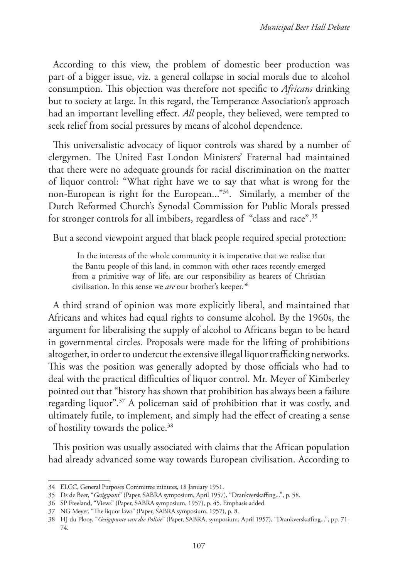According to this view, the problem of domestic beer production was part of a bigger issue, viz. a general collapse in social morals due to alcohol consumption. This objection was therefore not specific to *Africans* drinking but to society at large. In this regard, the Temperance Association's approach had an important levelling effect. *All* people, they believed, were tempted to seek relief from social pressures by means of alcohol dependence.

This universalistic advocacy of liquor controls was shared by a number of clergymen. The United East London Ministers' Fraternal had maintained that there were no adequate grounds for racial discrimination on the matter of liquor control: "What right have we to say that what is wrong for the non-European is right for the European..."34. Similarly, a member of the Dutch Reformed Church's Synodal Commission for Public Morals pressed for stronger controls for all imbibers, regardless of "class and race".35

But a second viewpoint argued that black people required special protection:

In the interests of the whole community it is imperative that we realise that the Bantu people of this land, in common with other races recently emerged from a primitive way of life, are our responsibility as bearers of Christian civilisation. In this sense we *are* our brother's keeper.<sup>36</sup>

A third strand of opinion was more explicitly liberal, and maintained that Africans and whites had equal rights to consume alcohol. By the 1960s, the argument for liberalising the supply of alcohol to Africans began to be heard in governmental circles. Proposals were made for the lifting of prohibitions altogether, in order to undercut the extensive illegal liquor trafficking networks. This was the position was generally adopted by those officials who had to deal with the practical difficulties of liquor control. Mr. Meyer of Kimberley pointed out that "history has shown that prohibition has always been a failure regarding liquor".<sup>37</sup> A policeman said of prohibition that it was costly, and ultimately futile, to implement, and simply had the effect of creating a sense of hostility towards the police.<sup>38</sup>

This position was usually associated with claims that the African population had already advanced some way towards European civilisation. According to

<sup>34</sup> ELCC, General Purposes Committee minutes, 18 January 1951.

<sup>35</sup> Ds de Beer, "*Gesigspunt*" (Paper, SABRA symposium, April 1957), "Drankverskaffing...", p. 58.

<sup>36</sup> SP Freeland, "Views" (Paper, SABRA symposium, 1957), p. 45. Emphasis added.

<sup>37</sup> NG Meyer, "The liquor laws" (Paper, SABRA symposium, 1957), p. 8.

<sup>38</sup> HJ du Plooy, "*Gesigspunte van die Polisie*" (Paper, SABRA, symposium, April 1957), "Drankverskaffing...", pp. 71- 74.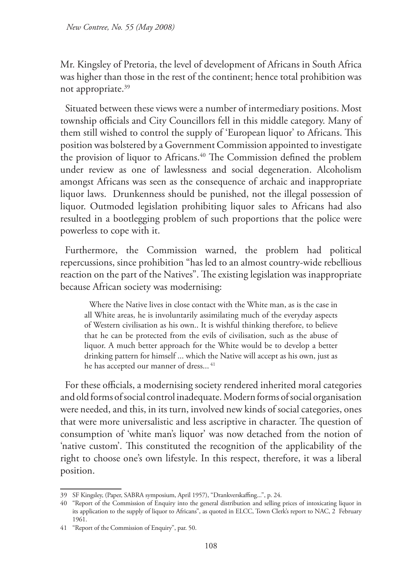Mr. Kingsley of Pretoria, the level of development of Africans in South Africa was higher than those in the rest of the continent; hence total prohibition was not appropriate.<sup>39</sup>

Situated between these views were a number of intermediary positions. Most township officials and City Councillors fell in this middle category. Many of them still wished to control the supply of 'European liquor' to Africans. This position was bolstered by a Government Commission appointed to investigate the provision of liquor to Africans.<sup>40</sup> The Commission defined the problem under review as one of lawlessness and social degeneration. Alcoholism amongst Africans was seen as the consequence of archaic and inappropriate liquor laws. Drunkenness should be punished, not the illegal possession of liquor. Outmoded legislation prohibiting liquor sales to Africans had also resulted in a bootlegging problem of such proportions that the police were powerless to cope with it.

Furthermore, the Commission warned, the problem had political repercussions, since prohibition "has led to an almost country-wide rebellious reaction on the part of the Natives". The existing legislation was inappropriate because African society was modernising:

Where the Native lives in close contact with the White man, as is the case in all White areas, he is involuntarily assimilating much of the everyday aspects of Western civilisation as his own.. It is wishful thinking therefore, to believe that he can be protected from the evils of civilisation, such as the abuse of liquor. A much better approach for the White would be to develop a better drinking pattern for himself ... which the Native will accept as his own, just as he has accepted our manner of dress...<sup>41</sup>

For these officials, a modernising society rendered inherited moral categories and old forms of social control inadequate. Modern forms of social organisation were needed, and this, in its turn, involved new kinds of social categories, ones that were more universalistic and less ascriptive in character. The question of consumption of 'white man's liquor' was now detached from the notion of 'native custom'. This constituted the recognition of the applicability of the right to choose one's own lifestyle. In this respect, therefore, it was a liberal position.

<sup>39</sup> SF Kingsley, (Paper, SABRA symposium, April 1957), "Drankverskaffing...", p. 24.

<sup>40</sup> "Report of the Commission of Enquiry into the general distribution and selling prices of intoxicating liquor in its application to the supply of liquor to Africans", as quoted in ELCC, Town Clerk's report to NAC, 2 February 1961.

<sup>41</sup> "Report of the Commission of Enquiry", par. 50.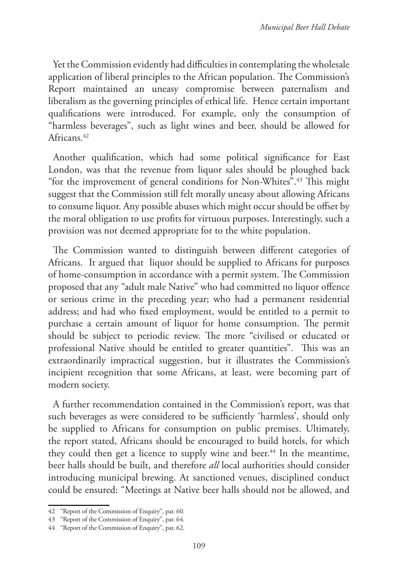Yet the Commission evidently had difficulties in contemplating the wholesale application of liberal principles to the African population. The Commission's Report maintained an uneasy compromise between paternalism and liberalism as the governing principles of ethical life. Hence certain important qualifications were introduced. For example, only the consumption of "harmless beverages", such as light wines and beer, should be allowed for Africans.42

Another qualification, which had some political significance for East London, was that the revenue from liquor sales should be ploughed back "for the improvement of general conditions for Non-Whites".43 This might suggest that the Commission still felt morally uneasy about allowing Africans to consume liquor. Any possible abuses which might occur should be offset by the moral obligation to use profits for virtuous purposes. Interestingly, such a provision was not deemed appropriate for to the white population.

The Commission wanted to distinguish between different categories of Africans. It argued that liquor should be supplied to Africans for purposes of home-consumption in accordance with a permit system. The Commission proposed that any "adult male Native" who had committed no liquor offence or serious crime in the preceding year; who had a permanent residential address; and had who fixed employment, would be entitled to a permit to purchase a certain amount of liquor for home consumption. The permit should be subject to periodic review. The more "civilised or educated or professional Native should be entitled to greater quantities". This was an extraordinarily impractical suggestion, but it illustrates the Commission's incipient recognition that some Africans, at least, were becoming part of modern society.

A further recommendation contained in the Commission's report, was that such beverages as were considered to be sufficiently 'harmless', should only be supplied to Africans for consumption on public premises. Ultimately, the report stated, Africans should be encouraged to build hotels, for which they could then get a licence to supply wine and beer.<sup>44</sup> In the meantime, beer halls should be built, and therefore *all* local authorities should consider introducing municipal brewing. At sanctioned venues, disciplined conduct could be ensured: "Meetings at Native beer halls should not be allowed, and

<sup>42</sup> "Report of the Commission of Enquiry", par. 60.

<sup>43</sup> "Report of the Commission of Enquiry", par. 64.

<sup>44</sup> "Report of the Commission of Enquiry", par. 62.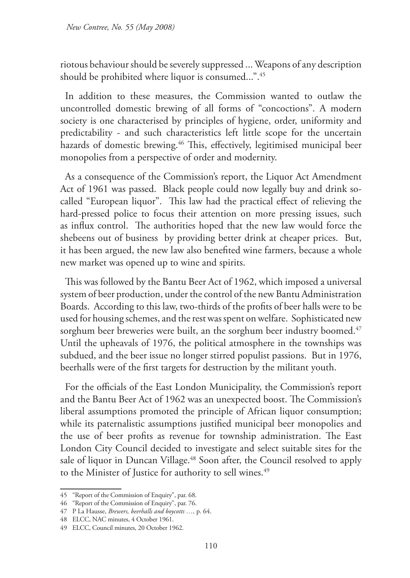*New Contree, No. 55 (May 2008)* 

riotous behaviour should be severely suppressed ... Weapons of any description should be prohibited where liquor is consumed...".45

In addition to these measures, the Commission wanted to outlaw the uncontrolled domestic brewing of all forms of "concoctions". A modern society is one characterised by principles of hygiene, order, uniformity and predictability - and such characteristics left little scope for the uncertain hazards of domestic brewing.<sup>46</sup> This, effectively, legitimised municipal beer monopolies from a perspective of order and modernity.

As a consequence of the Commission's report, the Liquor Act Amendment Act of 1961 was passed. Black people could now legally buy and drink socalled "European liquor". This law had the practical effect of relieving the hard-pressed police to focus their attention on more pressing issues, such as influx control. The authorities hoped that the new law would force the shebeens out of business by providing better drink at cheaper prices. But, it has been argued, the new law also benefited wine farmers, because a whole new market was opened up to wine and spirits.

This was followed by the Bantu Beer Act of 1962, which imposed a universal system of beer production, under the control of the new Bantu Administration Boards. According to this law, two-thirds of the profits of beer halls were to be used for housing schemes, and the rest was spent on welfare. Sophisticated new sorghum beer breweries were built, an the sorghum beer industry boomed.<sup>47</sup> Until the upheavals of 1976, the political atmosphere in the townships was subdued, and the beer issue no longer stirred populist passions. But in 1976, beerhalls were of the first targets for destruction by the militant youth.

For the officials of the East London Municipality, the Commission's report and the Bantu Beer Act of 1962 was an unexpected boost. The Commission's liberal assumptions promoted the principle of African liquor consumption; while its paternalistic assumptions justified municipal beer monopolies and the use of beer profits as revenue for township administration. The East London City Council decided to investigate and select suitable sites for the sale of liquor in Duncan Village.<sup>48</sup> Soon after, the Council resolved to apply to the Minister of Justice for authority to sell wines.<sup>49</sup>

<sup>45</sup> "Report of the Commission of Enquiry", par. 68.

<sup>46</sup> "Report of the Commission of Enquiry", par. 76.

<sup>47</sup> P La Hausse, *Brewers, beerhalls and boycotts …,* p. 64.

<sup>48</sup> ELCC, NAC minutes, 4 October 1961.

<sup>49</sup> ELCC, Council minutes, 20 October 1962.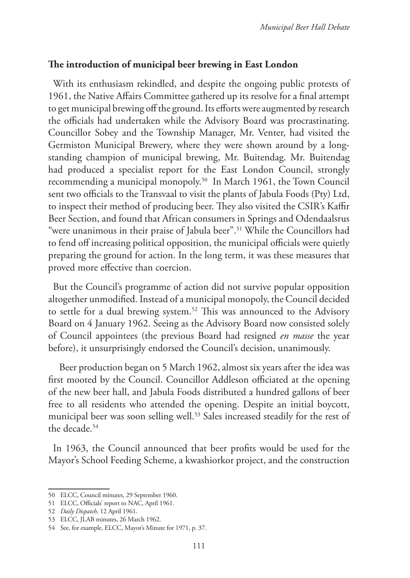### **The introduction of municipal beer brewing in East London**

With its enthusiasm rekindled, and despite the ongoing public protests of 1961, the Native Affairs Committee gathered up its resolve for a final attempt to get municipal brewing off the ground. Its efforts were augmented by research the officials had undertaken while the Advisory Board was procrastinating. Councillor Sobey and the Township Manager, Mr. Venter, had visited the Germiston Municipal Brewery, where they were shown around by a longstanding champion of municipal brewing, Mr. Buitendag. Mr. Buitendag had produced a specialist report for the East London Council, strongly recommending a municipal monopoly.50 In March 1961, the Town Council sent two officials to the Transvaal to visit the plants of Jabula Foods (Pty) Ltd, to inspect their method of producing beer. They also visited the CSIR's Kaffir Beer Section, and found that African consumers in Springs and Odendaalsrus "were unanimous in their praise of Jabula beer".<sup>51</sup> While the Councillors had to fend off increasing political opposition, the municipal officials were quietly preparing the ground for action. In the long term, it was these measures that proved more effective than coercion.

But the Council's programme of action did not survive popular opposition altogether unmodified. Instead of a municipal monopoly, the Council decided to settle for a dual brewing system.<sup>52</sup> This was announced to the Advisory Board on 4 January 1962. Seeing as the Advisory Board now consisted solely of Council appointees (the previous Board had resigned *en masse* the year before), it unsurprisingly endorsed the Council's decision, unanimously.

 Beer production began on 5 March 1962, almost six years after the idea was first mooted by the Council. Councillor Addleson officiated at the opening of the new beer hall, and Jabula Foods distributed a hundred gallons of beer free to all residents who attended the opening. Despite an initial boycott, municipal beer was soon selling well.<sup>53</sup> Sales increased steadily for the rest of the decade.54

In 1963, the Council announced that beer profits would be used for the Mayor's School Feeding Scheme, a kwashiorkor project, and the construction

<sup>50</sup> ELCC, Council minutes, 29 September 1960.

<sup>51</sup> ELCC, Officials' report to NAC, April 1961.

<sup>52</sup> *Daily Dispatch*, 12 April 1961.

<sup>53</sup> ELCC, JLAB minutes, 26 March 1962.

<sup>54</sup> See, for example, ELCC, Mayor's Minute for 1971, p. 37.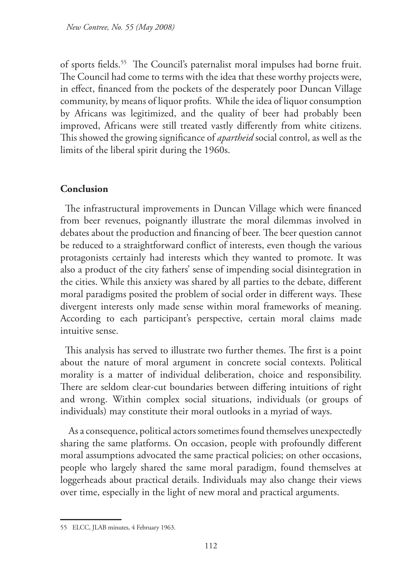of sports fields.<sup>55</sup> The Council's paternalist moral impulses had borne fruit. The Council had come to terms with the idea that these worthy projects were, in effect, financed from the pockets of the desperately poor Duncan Village community, by means of liquor profits. While the idea of liquor consumption by Africans was legitimized, and the quality of beer had probably been improved, Africans were still treated vastly differently from white citizens. This showed the growing significance of *apartheid* social control, as well as the limits of the liberal spirit during the 1960s.

## **Conclusion**

The infrastructural improvements in Duncan Village which were financed from beer revenues, poignantly illustrate the moral dilemmas involved in debates about the production and financing of beer. The beer question cannot be reduced to a straightforward conflict of interests, even though the various protagonists certainly had interests which they wanted to promote. It was also a product of the city fathers' sense of impending social disintegration in the cities. While this anxiety was shared by all parties to the debate, different moral paradigms posited the problem of social order in different ways. These divergent interests only made sense within moral frameworks of meaning. According to each participant's perspective, certain moral claims made intuitive sense.

This analysis has served to illustrate two further themes. The first is a point about the nature of moral argument in concrete social contexts. Political morality is a matter of individual deliberation, choice and responsibility. There are seldom clear-cut boundaries between differing intuitions of right and wrong. Within complex social situations, individuals (or groups of individuals) may constitute their moral outlooks in a myriad of ways.

 As a consequence, political actors sometimes found themselves unexpectedly sharing the same platforms. On occasion, people with profoundly different moral assumptions advocated the same practical policies; on other occasions, people who largely shared the same moral paradigm, found themselves at loggerheads about practical details. Individuals may also change their views over time, especially in the light of new moral and practical arguments.

<sup>55</sup> ELCC, JLAB minutes, 4 February 1963.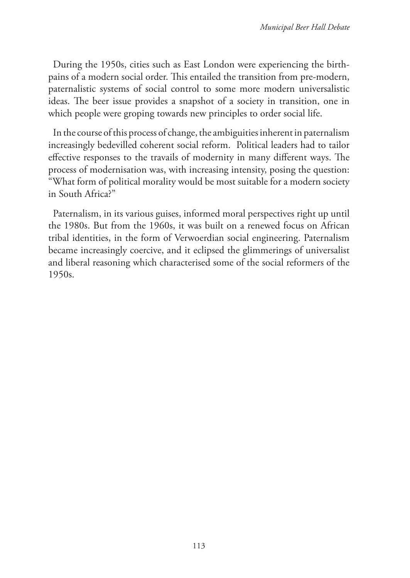During the 1950s, cities such as East London were experiencing the birthpains of a modern social order. This entailed the transition from pre-modern, paternalistic systems of social control to some more modern universalistic ideas. The beer issue provides a snapshot of a society in transition, one in which people were groping towards new principles to order social life.

In the course of this process of change, the ambiguities inherent in paternalism increasingly bedevilled coherent social reform. Political leaders had to tailor effective responses to the travails of modernity in many different ways. The process of modernisation was, with increasing intensity, posing the question: "What form of political morality would be most suitable for a modern society in South Africa?"

Paternalism, in its various guises, informed moral perspectives right up until the 1980s. But from the 1960s, it was built on a renewed focus on African tribal identities, in the form of Verwoerdian social engineering. Paternalism became increasingly coercive, and it eclipsed the glimmerings of universalist and liberal reasoning which characterised some of the social reformers of the 1950s.